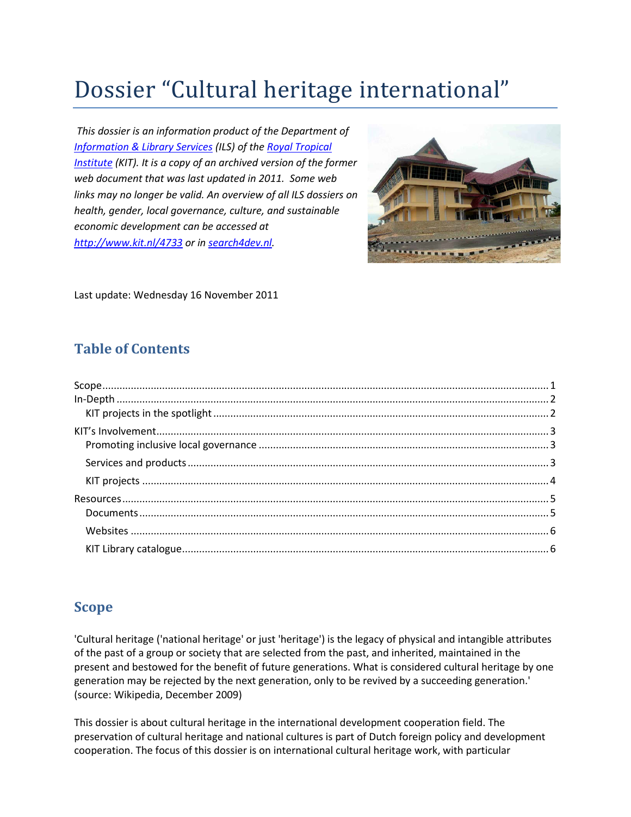# Dossier "Cultural heritage international"

*This dossier is an information product of the Department of [Information & Library Services](http://www.kit.nl/-/INS/53024/Royal-Tropical-Institute/KIT-Information-and-Library-Services--) (ILS) of the [Royal Tropical](http://www.kit.nl/-/INS/52859/Royal-Tropical-Institute)  [Institute](http://www.kit.nl/-/INS/52859/Royal-Tropical-Institute) (KIT). It is a copy of an archived version of the former web document that was last updated in 2011. Some web links may no longer be valid. An overview of all ILS dossiers on health, gender, local governance, culture, and sustainable economic development can be accessed at <http://www.kit.nl/4733> or in [search4dev.nl.](http://search4dev.nl/cgi/b/bib/bib-idx?lang=nl&type=boolean&c=dprn&q1=dossier&rgn1=title&op2=And&q2=&rgn2=entire+record&op3=And&q3=&rgn3=entire+record&op4=and&rgn4=doctype&q4=+&op8=and&rgn8=org&q8=kitroyaltropicalinstitute&op6=and&rgn6=region&q6=+&op7=and&rgn7=country&q7=+&op5=and&rgn5=language&q5=+&date1=2000&date2=2012&authorbrowse=Zoek)*



Last update: Wednesday 16 November 2011

# **Table of Contents**

# <span id="page-0-0"></span>**Scope**

'Cultural heritage ('national heritage' or just 'heritage') is the legacy of physical and intangible attributes of the past of a group or society that are selected from the past, and inherited, maintained in the present and bestowed for the benefit of future generations. What is considered cultural heritage by one generation may be rejected by the next generation, only to be revived by a succeeding generation.' (source: Wikipedia, December 2009)

This dossier is about cultural heritage in the international development cooperation field. The preservation of cultural heritage and national cultures is part of Dutch foreign policy and development cooperation. The focus of this dossier is on international cultural heritage work, with particular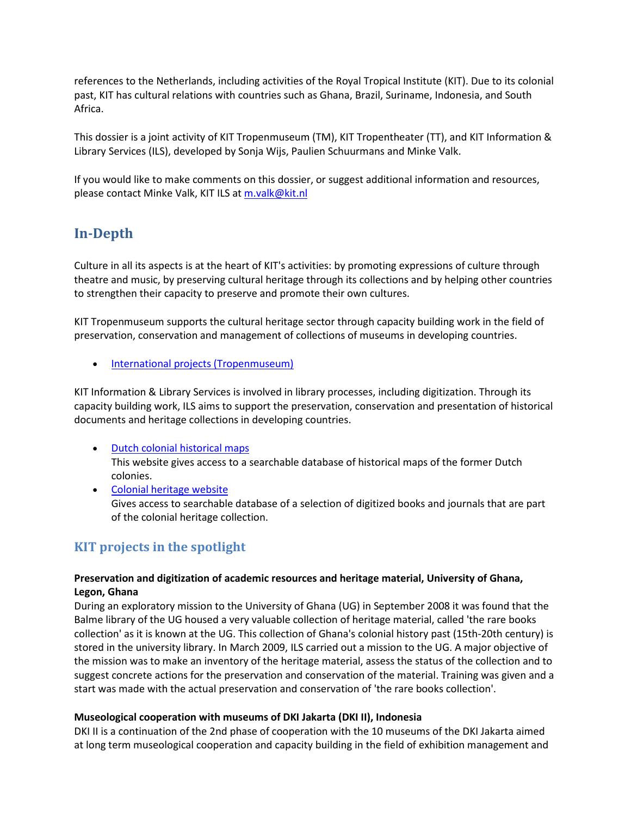references to the Netherlands, including activities of the Royal Tropical Institute (KIT). Due to its colonial past, KIT has cultural relations with countries such as Ghana, Brazil, Suriname, Indonesia, and South Africa.

This dossier is a joint activity of KIT Tropenmuseum (TM), KIT Tropentheater (TT), and KIT Information & Library Services (ILS), developed by Sonja Wijs, Paulien Schuurmans and Minke Valk.

If you would like to make comments on this dossier, or suggest additional information and resources, please contact Minke Valk, KIT ILS at [m.valk@kit.nl](mailto:m.valk@kit.nl)

# <span id="page-1-0"></span>**In-Depth**

Culture in all its aspects is at the heart of KIT's activities: by promoting expressions of culture through theatre and music, by preserving cultural heritage through its collections and by helping other countries to strengthen their capacity to preserve and promote their own cultures.

KIT Tropenmuseum supports the cultural heritage sector through capacity building work in the field of preservation, conservation and management of collections of museums in developing countries.

**[International projects \(Tropenmuseum\)](http://www.tropenmuseum.nl/-/MUS/52184/Tropenmuseum/About-Tropenmuseum/International-projects)** 

KIT Information & Library Services is involved in library processes, including digitization. Through its capacity building work, ILS aims to support the preservation, conservation and presentation of historical documents and heritage collections in developing countries.

- [Dutch colonial historical maps](http://www.kit.nl/-/INS/12227/Royal-Tropical-Institute/KIT-Information-and-Library-Services--/KIT-Information-and-Library-Services---KIT-Library/Collections/Dutch-Colonial-Maps) This website gives access to a searchable database of historical maps of the former Dutch colonies.
- [Colonial heritage website](http://62.41.28.253/cgi-bin/kit.exe) Gives access to searchable database of a selection of digitized books and journals that are part of the colonial heritage collection.

# <span id="page-1-1"></span>**KIT projects in the spotlight**

#### **Preservation and digitization of academic resources and heritage material, University of Ghana, Legon, Ghana**

During an exploratory mission to the University of Ghana (UG) in September 2008 it was found that the Balme library of the UG housed a very valuable collection of heritage material, called 'the rare books collection' as it is known at the UG. This collection of Ghana's colonial history past (15th-20th century) is stored in the university library. In March 2009, ILS carried out a mission to the UG. A major objective of the mission was to make an inventory of the heritage material, assess the status of the collection and to suggest concrete actions for the preservation and conservation of the material. Training was given and a start was made with the actual preservation and conservation of 'the rare books collection'.

#### **Museological cooperation with museums of DKI Jakarta (DKI II), Indonesia**

DKI II is a continuation of the 2nd phase of cooperation with the 10 museums of the DKI Jakarta aimed at long term museological cooperation and capacity building in the field of exhibition management and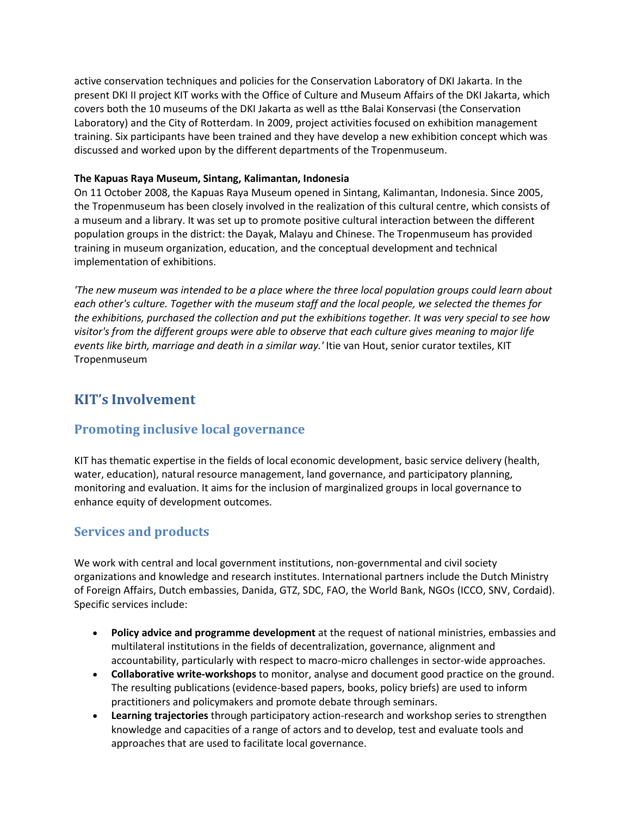active conservation techniques and policies for the Conservation Laboratory of DKI Jakarta. In the present DKI II project KIT works with the Office of Culture and Museum Affairs of the DKI Jakarta, which covers both the 10 museums of the DKI Jakarta as well as tthe Balai Konservasi (the Conservation Laboratory) and the City of Rotterdam. In 2009, project activities focused on exhibition management training. Six participants have been trained and they have develop a new exhibition concept which was discussed and worked upon by the different departments of the Tropenmuseum.

#### **The Kapuas Raya Museum, Sintang, Kalimantan, Indonesia**

On 11 October 2008, the Kapuas Raya Museum opened in Sintang, Kalimantan, Indonesia. Since 2005, the Tropenmuseum has been closely involved in the realization of this cultural centre, which consists of a museum and a library. It was set up to promote positive cultural interaction between the different population groups in the district: the Dayak, Malayu and Chinese. The Tropenmuseum has provided training in museum organization, education, and the conceptual development and technical implementation of exhibitions.

*'The new museum was intended to be a place where the three local population groups could learn about each other's culture. Together with the museum staff and the local people, we selected the themes for the exhibitions, purchased the collection and put the exhibitions together. It was very special to see how visitor's from the different groups were able to observe that each culture gives meaning to major life events like birth, marriage and death in a similar way.'* Itie van Hout, senior curator textiles, KIT Tropenmuseum

# <span id="page-2-0"></span>**KIT's Involvement**

## <span id="page-2-1"></span>**Promoting inclusive local governance**

KIT has thematic expertise in the fields of local economic development, basic service delivery (health, water, education), natural resource management, land governance, and participatory planning, monitoring and evaluation. It aims for the inclusion of marginalized groups in local governance to enhance equity of development outcomes.

## <span id="page-2-2"></span>**Services and products**

We work with central and local government institutions, non-governmental and civil society organizations and knowledge and research institutes. International partners include the Dutch Ministry of Foreign Affairs, Dutch embassies, Danida, GTZ, SDC, FAO, the World Bank, NGOs (ICCO, SNV, Cordaid). Specific services include:

- **Policy advice and programme development** at the request of national ministries, embassies and multilateral institutions in the fields of decentralization, governance, alignment and accountability, particularly with respect to macro-micro challenges in sector-wide approaches.
- **Collaborative write-workshops** to monitor, analyse and document good practice on the ground. The resulting publications (evidence-based papers, books, policy briefs) are used to inform practitioners and policymakers and promote debate through seminars.
- **Learning trajectories** through participatory action-research and workshop series to strengthen knowledge and capacities of a range of actors and to develop, test and evaluate tools and approaches that are used to facilitate local governance.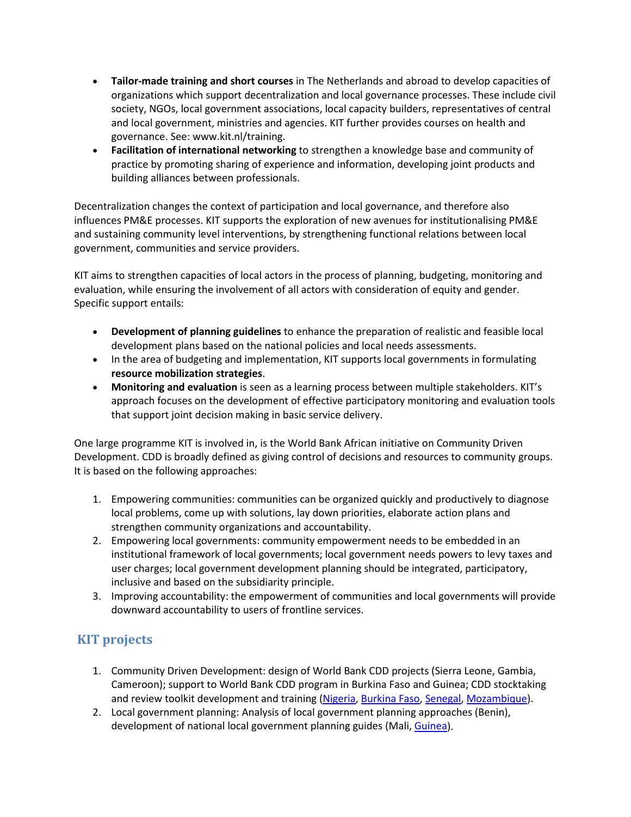- **Tailor-made training and short courses** in The Netherlands and abroad to develop capacities of organizations which support decentralization and local governance processes. These include civil society, NGOs, local government associations, local capacity builders, representatives of central and local government, ministries and agencies. KIT further provides courses on health and governance. See: www.kit.nl/training.
- **Facilitation of international networking** to strengthen a knowledge base and community of practice by promoting sharing of experience and information, developing joint products and building alliances between professionals.

Decentralization changes the context of participation and local governance, and therefore also influences PM&E processes. KIT supports the exploration of new avenues for institutionalising PM&E and sustaining community level interventions, by strengthening functional relations between local government, communities and service providers.

KIT aims to strengthen capacities of local actors in the process of planning, budgeting, monitoring and evaluation, while ensuring the involvement of all actors with consideration of equity and gender. Specific support entails:

- **Development of planning guidelines** to enhance the preparation of realistic and feasible local development plans based on the national policies and local needs assessments.
- In the area of budgeting and implementation, KIT supports local governments in formulating **resource mobilization strategies**.
- **Monitoring and evaluation** is seen as a learning process between multiple stakeholders. KIT's approach focuses on the development of effective participatory monitoring and evaluation tools that support joint decision making in basic service delivery.

One large programme KIT is involved in, is the World Bank African initiative on Community Driven Development. CDD is broadly defined as giving control of decisions and resources to community groups. It is based on the following approaches:

- 1. Empowering communities: communities can be organized quickly and productively to diagnose local problems, come up with solutions, lay down priorities, elaborate action plans and strengthen community organizations and accountability.
- 2. Empowering local governments: community empowerment needs to be embedded in an institutional framework of local governments; local government needs powers to levy taxes and user charges; local government development planning should be integrated, participatory, inclusive and based on the subsidiarity principle.
- 3. Improving accountability: the empowerment of communities and local governments will provide downward accountability to users of frontline services.

# <span id="page-3-0"></span>**KIT projects**

- 1. Community Driven Development: design of World Bank CDD projects (Sierra Leone, Gambia, Cameroon); support to World Bank CDD program in Burkina Faso and Guinea; CDD stocktaking and review toolkit development and training [\(Nigeria,](http://www.kit.nl/smartsite.shtml?ch=FAB&id=kitprojects&ProjectID=984&RecordTitle=Community%20Driven%20Development%20Toolbox,%20Training%20of%20trainers) [Burkina Faso,](http://www.kit.nl/smartsite.shtml?ch=FAB&id=kitprojects&ProjectID=419&RecordTitle=Support%20to%20community%20driven%20development%20Senegal%202005) [Senegal, Mozambique\)](http://www.kit.nl/smartsite.shtml?ch=FAB&id=kitprojects&ProjectID=305&RecordTitle=Worldbank%20CDD%20toolkit%20development%20and%20review%20methodology).
- 2. Local government planning: Analysis of local government planning approaches (Benin), development of national local government planning guides (Mali, [Guinea\)](http://www.kit.nl/smartsite.shtml?ch=FAB&id=kitprojects&ProjectID=1269&RecordTitle=Local%20government%20development%20planning%20in%20Guinea).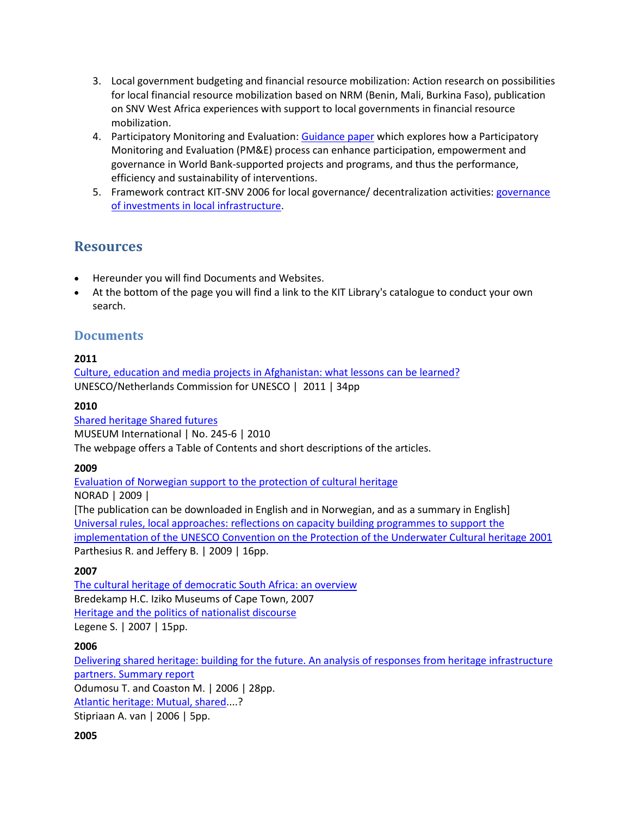- 3. Local government budgeting and financial resource mobilization: Action research on possibilities for local financial resource mobilization based on NRM (Benin, Mali, Burkina Faso), publication on SNV West Africa experiences with support to local governments in financial resource mobilization.
- 4. Participatory Monitoring and Evaluation[: Guidance paper](http://www.kit.nl/smartsite.shtml?ch=FAB&id=17876&ProjectID=857&RecordTitle=Participatory%20monitoring%20and%20evaluation%20to%20support%20local%20governance) which explores how a Participatory Monitoring and Evaluation (PM&E) process can enhance participation, empowerment and governance in World Bank-supported projects and programs, and thus the performance, efficiency and sustainability of interventions.
- 5. Framework contract KIT-SNV 2006 for local governance/ decentralization activities: governance [of investments in local infrastructure.](http://www.kit.nl/smartsite.shtml?ch=FAB&id=17876&ProjectID=952&RecordTitle=Framework%20contract%20KIT-SNV%202006%20for%20local%20governance%2F%20decentralisation%20activities:%20governance%20of%20investments%20in%20local%20infrastructure)

# <span id="page-4-0"></span>**Resources**

- Hereunder you will find Documents and Websites.
- At the bottom of the page you will find a link to the KIT Library's catalogue to conduct your own search.

## <span id="page-4-1"></span>**Documents**

#### **2011**

[Culture, education and media projects in Afghanistan: what lessons can be learned?](http://www.unesco.nl/documents/documenten-natcom/Lessons_Learned_Afghanistan.pdf) UNESCO/Netherlands Commission for UNESCO | 2011 | 34pp

## **2010**

[Shared heritage Shared futures](http://portal.unesco.org/culture/en/ev.php-URL_ID=41265&URL_DO=DO_TOPIC&URL_SECTION=201.html) MUSEUM International | No. 245-6 | 2010 The webpage offers a Table of Contents and short descriptions of the articles.

## **2009**

[Evaluation of Norwegian support to the protection of cultural heritage](http://www.norad.no/en/tools-and-publications/publications/publication/_attachment/132909?_download=true&_ts=123721d94e4) NORAD | 2009 | [The publication can be downloaded in English and in Norwegian, and as a summary in English] [Universal rules, local approaches: reflections on capacity building programmes to support the](http://www.heritage-activities.nl/sites/default/files/content/Universal%20rules,%20local%20approaches.pdf)  [implementation of the UNESCO Convention on the Protection of the Underwater Cultural heritage 2001](http://www.heritage-activities.nl/sites/default/files/content/Universal%20rules,%20local%20approaches.pdf) Parthesius R. and Jeffery B. | 2009 | 16pp.

## **2007**

[The cultural heritage of democratic South Africa: an overview](http://www.dissanet.com/ifla/pdf/LIASA%2001%20Bredekamp.pdf) Bredekamp H.C. Iziko Museums of Cape Town, 2007 [Heritage and the politics of nationalist discourse](http://icme.icom.museum/fileadmin/user_upload/pdf/2007/icomlezing%2019-8-07.pdf) Legene S. | 2007 | 15pp.

## **2006**

[Delivering shared heritage: building for the future. An analysis of responses from heritage infrastructure](http://legacy.london.gov.uk/mayor/equalities/docs/mcaah-Stakeholder-Report-2006.pdf)  [partners. Summary report](http://legacy.london.gov.uk/mayor/equalities/docs/mcaah-Stakeholder-Report-2006.pdf)  Odumosu T. and Coaston M. | 2006 | 28pp. [Atlantic heritage: Mutual, shared.](http://awad.kitlv.nl/pdf/Proceedings-Alex-van-Stipriaan.pdf)...? Stipriaan A. van | 2006 | 5pp.

#### **2005**